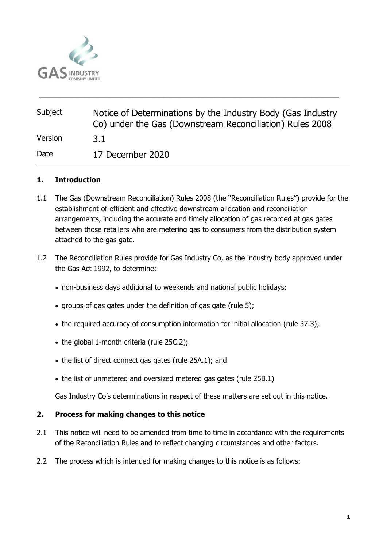

| Subject | Notice of Determinations by the Industry Body (Gas Industry<br>Co) under the Gas (Downstream Reconciliation) Rules 2008 |
|---------|-------------------------------------------------------------------------------------------------------------------------|
| Version | 3.1                                                                                                                     |
| Date    | 17 December 2020                                                                                                        |

\_\_\_\_\_\_\_\_\_\_\_\_\_\_\_\_\_\_\_\_\_\_\_\_\_\_\_\_\_\_\_\_\_\_\_\_\_\_\_\_\_\_\_\_\_\_\_\_\_\_\_\_\_\_\_\_\_\_\_\_\_\_\_\_\_\_\_\_\_\_\_\_\_\_\_\_\_

### **1. Introduction**

- 1.1 The Gas (Downstream Reconciliation) Rules 2008 (the "Reconciliation Rules") provide for the establishment of efficient and effective downstream allocation and reconciliation arrangements, including the accurate and timely allocation of gas recorded at gas gates between those retailers who are metering gas to consumers from the distribution system attached to the gas gate.
- 1.2 The Reconciliation Rules provide for Gas Industry Co, as the industry body approved under the Gas Act 1992, to determine:
	- non-business days additional to weekends and national public holidays;
	- groups of gas gates under the definition of gas gate (rule 5);
	- the required accuracy of consumption information for initial allocation (rule 37.3);
	- the global 1-month criteria (rule 25C.2);
	- the list of direct connect gas gates (rule 25A.1); and
	- the list of unmetered and oversized metered gas gates (rule 25B.1)

Gas Industry Co's determinations in respect of these matters are set out in this notice.

### **2. Process for making changes to this notice**

- 2.1 This notice will need to be amended from time to time in accordance with the requirements of the Reconciliation Rules and to reflect changing circumstances and other factors.
- 2.2 The process which is intended for making changes to this notice is as follows: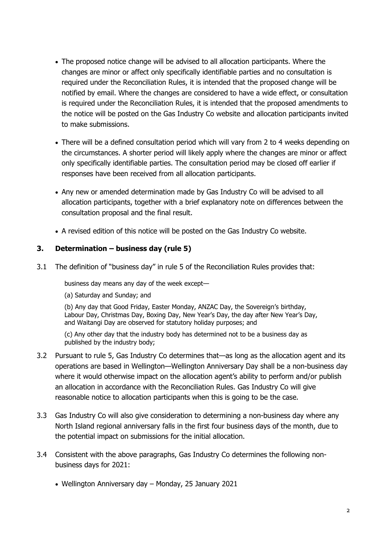- The proposed notice change will be advised to all allocation participants. Where the changes are minor or affect only specifically identifiable parties and no consultation is required under the Reconciliation Rules, it is intended that the proposed change will be notified by email. Where the changes are considered to have a wide effect, or consultation is required under the Reconciliation Rules, it is intended that the proposed amendments to the notice will be posted on the Gas Industry Co website and allocation participants invited to make submissions.
- There will be a defined consultation period which will vary from 2 to 4 weeks depending on the circumstances. A shorter period will likely apply where the changes are minor or affect only specifically identifiable parties. The consultation period may be closed off earlier if responses have been received from all allocation participants.
- Any new or amended determination made by Gas Industry Co will be advised to all allocation participants, together with a brief explanatory note on differences between the consultation proposal and the final result.
- A revised edition of this notice will be posted on the Gas Industry Co website.

### **3. Determination – business day (rule 5)**

3.1 The definition of "business day" in rule 5 of the Reconciliation Rules provides that:

business day means any day of the week except—

(a) Saturday and Sunday; and

(b) Any day that Good Friday, Easter Monday, ANZAC Day, the Sovereign's birthday, Labour Day, Christmas Day, Boxing Day, New Year's Day, the day after New Year's Day, and Waitangi Day are observed for statutory holiday purposes; and

(c) Any other day that the industry body has determined not to be a business day as published by the industry body;

- 3.2 Pursuant to rule 5, Gas Industry Co determines that—as long as the allocation agent and its operations are based in Wellington—Wellington Anniversary Day shall be a non-business day where it would otherwise impact on the allocation agent's ability to perform and/or publish an allocation in accordance with the Reconciliation Rules. Gas Industry Co will give reasonable notice to allocation participants when this is going to be the case.
- 3.3 Gas Industry Co will also give consideration to determining a non-business day where any North Island regional anniversary falls in the first four business days of the month, due to the potential impact on submissions for the initial allocation.
- 3.4 Consistent with the above paragraphs, Gas Industry Co determines the following nonbusiness days for 2021:
	- Wellington Anniversary day Monday, 25 January 2021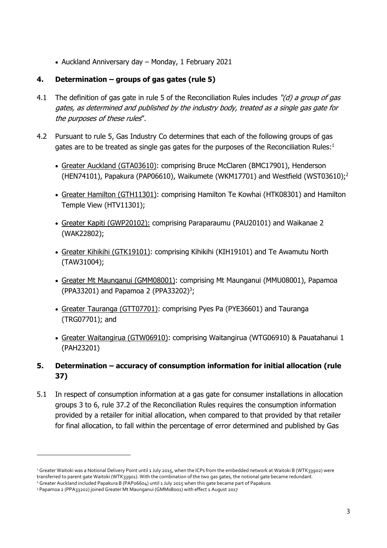• Auckland Anniversary day – Monday, 1 February 2021

## **4. Determination – groups of gas gates (rule 5)**

- 4.1 The definition of gas gate in rule 5 of the Reconciliation Rules includes "(d) a group of gas gates, as determined and published by the industry body, treated as a single gas gate for the purposes of these rules".
- 4.2 Pursuant to rule 5, Gas Industry Co determines that each of the following groups of gas gates are to be treated as single gas gates for the purposes of the Reconciliation Rules: $1$ 
	- Greater Auckland (GTA03610): comprising Bruce McClaren (BMC17901), Henderson (HEN74101), Papakura (PAP06610), Waikumete (WKM17701) and Westfield (WST03610);<sup>2</sup>
	- Greater Hamilton (GTH11301): comprising Hamilton Te Kowhai (HTK08301) and Hamilton Temple View (HTV11301);
	- Greater Kapiti (GWP20102): comprising Paraparaumu (PAU20101) and Waikanae 2 (WAK22802);
	- Greater Kihikihi (GTK19101): comprising Kihikihi (KIH19101) and Te Awamutu North (TAW31004);
	- Greater Mt Maunganui (GMM08001): comprising Mt Maunganui (MMU08001), Papamoa  $(PPA33201)$  and Papamoa 2  $(PPA33202)^3$ ;
	- Greater Tauranga (GTT07701): comprising Pyes Pa (PYE36601) and Tauranga (TRG07701); and
	- Greater Waitangirua (GTW06910): comprising Waitangirua (WTG06910) & Pauatahanui 1 (PAH23201)
- **5. Determination – accuracy of consumption information for initial allocation (rule 37)**
- 5.1 In respect of consumption information at a gas gate for consumer installations in allocation groups 3 to 6, rule 37.2 of the Reconciliation Rules requires the consumption information provided by a retailer for initial allocation, when compared to that provided by that retailer for final allocation, to fall within the percentage of error determined and published by Gas

<sup>&</sup>lt;sup>1</sup> Greater Waitoki was a Notional Delivery Point until 1 July 2015, when the ICPs from the embedded network at Waitoki B (WTK33902) were transferred to parent gate Waitoki (WTK33901). With the combination of the two gas gates, the notional gate became redundant.

<sup>2</sup> Greater Auckland included Papakura B (PAP06604) until 1 July 2015 when this gate became part of Papakura

<sup>&</sup>lt;sup>3</sup> Papamoa 2 (PPA33202) joined Greater Mt Maunganui (GMM08001) with effect 1 August 2017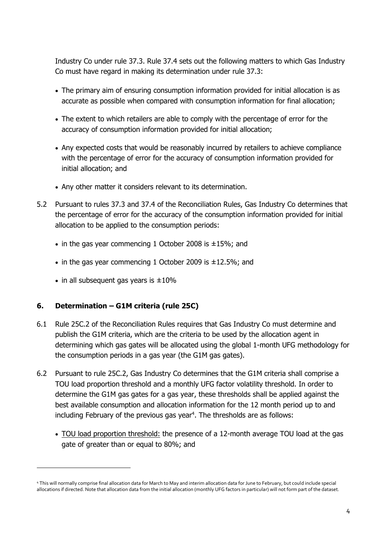Industry Co under rule 37.3. Rule 37.4 sets out the following matters to which Gas Industry Co must have regard in making its determination under rule 37.3:

- The primary aim of ensuring consumption information provided for initial allocation is as accurate as possible when compared with consumption information for final allocation;
- The extent to which retailers are able to comply with the percentage of error for the accuracy of consumption information provided for initial allocation;
- Any expected costs that would be reasonably incurred by retailers to achieve compliance with the percentage of error for the accuracy of consumption information provided for initial allocation; and
- Any other matter it considers relevant to its determination.
- 5.2 Pursuant to rules 37.3 and 37.4 of the Reconciliation Rules, Gas Industry Co determines that the percentage of error for the accuracy of the consumption information provided for initial allocation to be applied to the consumption periods:
	- in the gas year commencing 1 October 2008 is  $\pm 15\%$ ; and
	- in the gas year commencing 1 October 2009 is  $\pm$ 12.5%; and
	- in all subsequent gas years is  $\pm 10\%$

### **6. Determination – G1M criteria (rule 25C)**

- 6.1 Rule 25C.2 of the Reconciliation Rules requires that Gas Industry Co must determine and publish the G1M criteria, which are the criteria to be used by the allocation agent in determining which gas gates will be allocated using the global 1-month UFG methodology for the consumption periods in a gas year (the G1M gas gates).
- 6.2 Pursuant to rule 25C.2, Gas Industry Co determines that the G1M criteria shall comprise a TOU load proportion threshold and a monthly UFG factor volatility threshold. In order to determine the G1M gas gates for a gas year, these thresholds shall be applied against the best available consumption and allocation information for the 12 month period up to and including February of the previous gas year<sup>4</sup>. The thresholds are as follows:
	- TOU load proportion threshold: the presence of a 12-month average TOU load at the gas gate of greater than or equal to 80%; and

<sup>4</sup> This will normally comprise final allocation data for March to May and interim allocation data for June to February, but could include special allocations if directed. Note that allocation data from the initial allocation (monthly UFG factors in particular) will not form part of the dataset.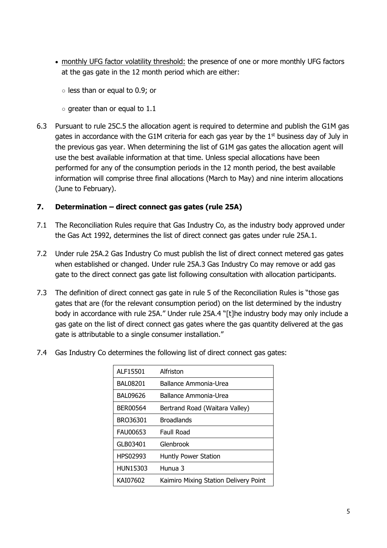- monthly UFG factor volatility threshold: the presence of one or more monthly UFG factors at the gas gate in the 12 month period which are either:
	- less than or equal to 0.9; or
	- $\circ$  greater than or equal to 1.1
- 6.3 Pursuant to rule 25C.5 the allocation agent is required to determine and publish the G1M gas gates in accordance with the G1M criteria for each gas year by the  $1<sup>st</sup>$  business day of July in the previous gas year. When determining the list of G1M gas gates the allocation agent will use the best available information at that time. Unless special allocations have been performed for any of the consumption periods in the 12 month period, the best available information will comprise three final allocations (March to May) and nine interim allocations (June to February).

# **7. Determination – direct connect gas gates (rule 25A)**

- 7.1 The Reconciliation Rules require that Gas Industry Co, as the industry body approved under the Gas Act 1992, determines the list of direct connect gas gates under rule 25A.1.
- 7.2 Under rule 25A.2 Gas Industry Co must publish the list of direct connect metered gas gates when established or changed. Under rule 25A.3 Gas Industry Co may remove or add gas gate to the direct connect gas gate list following consultation with allocation participants.
- 7.3 The definition of direct connect gas gate in rule 5 of the Reconciliation Rules is "those gas gates that are (for the relevant consumption period) on the list determined by the industry body in accordance with rule 25A." Under rule 25A.4 "[t]he industry body may only include a gas gate on the list of direct connect gas gates where the gas quantity delivered at the gas gate is attributable to a single consumer installation."
- 7.4 Gas Industry Co determines the following list of direct connect gas gates:

| ALF15501        | Alfriston                             |
|-----------------|---------------------------------------|
| <b>BAL08201</b> | Ballance Ammonia-Urea                 |
| <b>BAL09626</b> | Ballance Ammonia-Urea                 |
| <b>BER00564</b> | Bertrand Road (Waitara Valley)        |
| BRO36301        | <b>Broadlands</b>                     |
| <b>FAU00653</b> | Faull Road                            |
| GLB03401        | Glenbrook                             |
| HPS02993        | <b>Huntly Power Station</b>           |
| <b>HUN15303</b> | Hunua 3                               |
| KAI07602        | Kaimiro Mixing Station Delivery Point |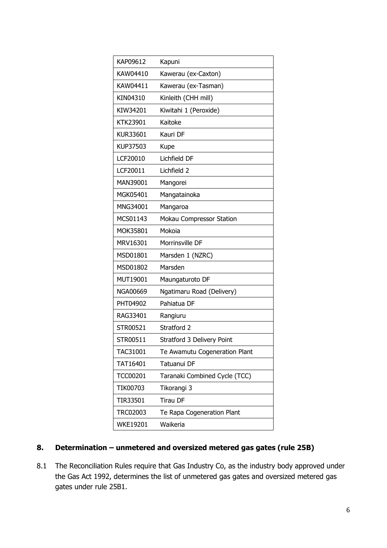| KAP09612        | Kapuni                        |
|-----------------|-------------------------------|
| KAW04410        | Kawerau (ex-Caxton)           |
| KAW04411        | Kawerau (ex-Tasman)           |
| KIN04310        | Kinleith (CHH mill)           |
| KIW34201        | Kiwitahi 1 (Peroxide)         |
| KTK23901        | Kaitoke                       |
| KUR33601        | Kauri DF                      |
| KUP37503        | Kupe                          |
| LCF20010        | Lichfield DF                  |
| LCF20011        | Lichfield 2                   |
| MAN39001        | Mangorei                      |
| MGK05401        | Mangatainoka                  |
| MNG34001        | Mangaroa                      |
| MCS01143        | Mokau Compressor Station      |
| MOK35801        | Mokoia                        |
| MRV16301        | Morrinsville DF               |
| MSD01801        | Marsden 1 (NZRC)              |
| MSD01802        | Marsden                       |
| MUT19001        | Maungaturoto DF               |
| NGA00669        | Ngatimaru Road (Delivery)     |
| PHT04902        | Pahiatua DF                   |
| RAG33401        | Rangiuru                      |
| STR00521        | Stratford 2                   |
| STR00511        | Stratford 3 Delivery Point    |
| TAC31001        | Te Awamutu Cogeneration Plant |
| TAT16401        | Tatuanui DF                   |
| <b>TCC00201</b> | Taranaki Combined Cycle (TCC) |
| TIK00703        | Tikorangi 3                   |
| TIR33501        | <b>Tirau DF</b>               |
| <b>TRC02003</b> | Te Rapa Cogeneration Plant    |
| <b>WKE19201</b> | Waikeria                      |

# 8. **Determination – unmetered and oversized metered gas gates (rule 25B)**

8.1 The Reconciliation Rules require that Gas Industry Co, as the industry body approved under the Gas Act 1992, determines the list of unmetered gas gates and oversized metered gas gates under rule 25B1.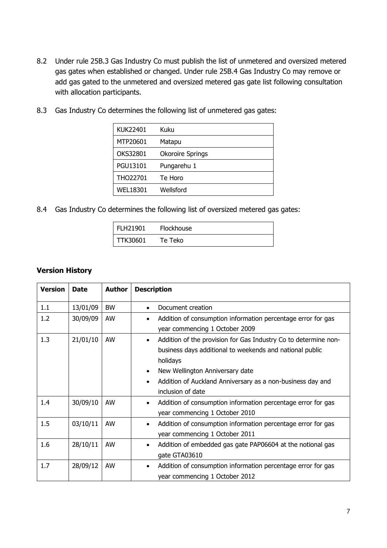- 8.2 Under rule 25B.3 Gas Industry Co must publish the list of unmetered and oversized metered gas gates when established or changed. Under rule 25B.4 Gas Industry Co may remove or add gas gated to the unmetered and oversized metered gas gate list following consultation with allocation participants.
- 8.3 Gas Industry Co determines the following list of unmetered gas gates:

| <b>KUK22401</b> | Kuku                    |
|-----------------|-------------------------|
| MTP20601        | Matapu                  |
| OKS32801        | <b>Okoroire Springs</b> |
| PGU13101        | Pungarehu 1             |
| THO22701        | Te Horo                 |
| <b>WEL18301</b> | Wellsford               |

8.4 Gas Industry Co determines the following list of oversized metered gas gates:

| <b>FLH21901</b> | <b>Flockhouse</b> |  |
|-----------------|-------------------|--|
| TTK30601        | Te Teko           |  |

#### **Version History**

| <b>Version</b> | <b>Date</b> | <b>Author</b> | <b>Description</b>                                                           |
|----------------|-------------|---------------|------------------------------------------------------------------------------|
| 1.1            | 13/01/09    | <b>BW</b>     | Document creation<br>$\bullet$                                               |
| 1.2            | 30/09/09    | AW            | Addition of consumption information percentage error for gas<br>$\bullet$    |
|                |             |               | year commencing 1 October 2009                                               |
| 1.3            | 21/01/10    | AW            | Addition of the provision for Gas Industry Co to determine non-<br>$\bullet$ |
|                |             |               | business days additional to weekends and national public                     |
|                |             |               | holidays                                                                     |
|                |             |               | New Wellington Anniversary date<br>$\bullet$                                 |
|                |             |               | Addition of Auckland Anniversary as a non-business day and<br>$\bullet$      |
|                |             |               | inclusion of date                                                            |
| 1.4            | 30/09/10    | AW            | Addition of consumption information percentage error for gas<br>$\bullet$    |
|                |             |               | year commencing 1 October 2010                                               |
| 1.5            | 03/10/11    | AW            | Addition of consumption information percentage error for gas<br>$\bullet$    |
|                |             |               | year commencing 1 October 2011                                               |
| 1.6            | 28/10/11    | AW            | Addition of embedded gas gate PAP06604 at the notional gas<br>$\bullet$      |
|                |             |               | gate GTA03610                                                                |
| 1.7            | 28/09/12    | AW            | Addition of consumption information percentage error for gas<br>$\bullet$    |
|                |             |               | year commencing 1 October 2012                                               |